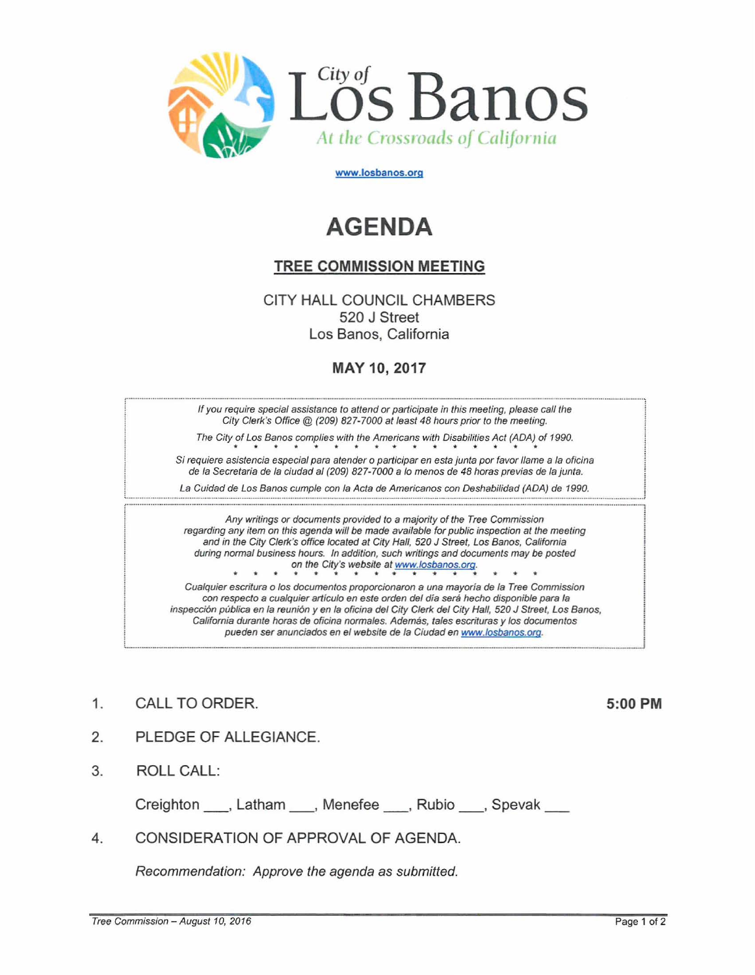

www.losbanos.org

## **AGENDA**

## TREE COMMISSION MEETING

CITY HALL COUNCIL CHAMBERS 520 J Street Los Banos, California

## MAY 10, 2017

If you require special assistance to attend or participate in this meeting, please call the City Clerk's Office @ (209) 827-7000 at least 48 hours prior to the meeting.

The City of Los Banos complies with the Americans with Disabilities Act (ADA) of 1990.  $\sigma$  Using the CD (209) 827-7000 at least 48 hours prior to the meeting of Los Banos complies with the Americans with Disabilities Act (ADA)

Si requiere asistencia especial para atender o participar en esta junta por favor llame a la oficina de la Secretaria de la ciudad al (209) 827-7000 a lo menos de 48 horas previas de la junta.

La Cuidad de Los Banos cumple con la Acta de Americanos con Deshabilidad (ADA) de 1990.

Any writings or documents provided to a majority of the Tree Commission regarding any item on this agenda will *be* made available for public inspection at the meeting and in the City Clerk's office located at City Hall, 520 J Street, Los Banos, California during normal business hours. In addition, such writings and documents may *be* posted on the City's website at www.losbanos.org.

... ... ... ... ... ... ... ... ... ...

Cualquier escritura <sup>0</sup> los documentos proporcionaron a una mayoria de la Tree Commission con respecto a cualquier articulo en este orden del dia sera hecho disponible para la inspeccion publica en la reunion y en la oficina del City Clerk del City Hall, 520 J Street, Los Banos, California durante horas de oficina normales. Además, tales escrituras y los documentos pueden ser anunciados en el website de la Ciudad en www.losbanos.oro. L \_ \_ \_ \_ \_ \_..\_ \_..\_ \_\_ \_ \_ \_\_ \_ \_\_ \_..*<sup>i</sup>*

1. CALL TO ORDER. 5:00 PM

- 2. PLEDGE OF ALLEGIANCE.
- 3. ROLL CALL:

Creighton , Latham , Menefee , Rubio , Spevak

4. CONSIDERATION OF APPROVAL OF AGENDA.

Recommendation: Approve the agenda as submitted.